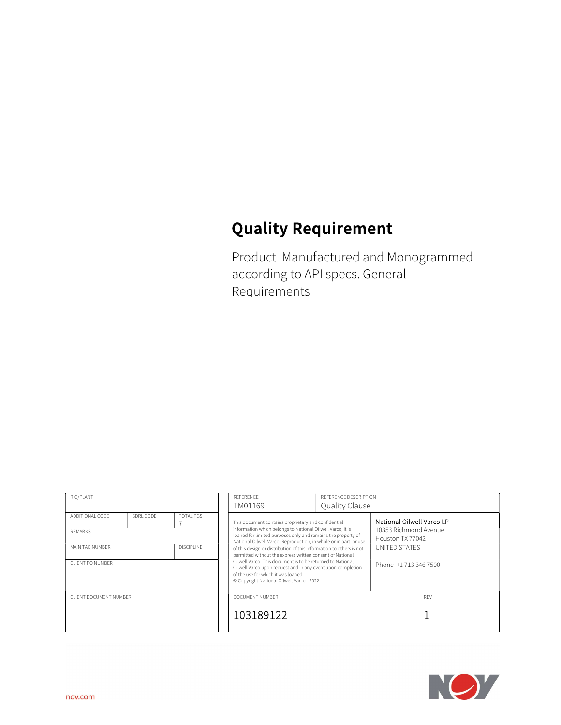# Quality Requirement

Product Manufactured and Monogrammed according to API specs. General Requirements

| RIG/PLANT                            |           |                  | REFERENCE                                                                                                                                                                                                                                                                                                                                                                                                              | REFERENCE DESCRIPTION |                                                         |     |  |
|--------------------------------------|-----------|------------------|------------------------------------------------------------------------------------------------------------------------------------------------------------------------------------------------------------------------------------------------------------------------------------------------------------------------------------------------------------------------------------------------------------------------|-----------------------|---------------------------------------------------------|-----|--|
|                                      |           |                  | TM01169                                                                                                                                                                                                                                                                                                                                                                                                                | Quality Clause        |                                                         |     |  |
| ADDITIONAL CODE<br><b>REMARKS</b>    | SDRL CODE | <b>TOTAL PGS</b> | National Oilwell Varco LP<br>This document contains proprietary and confidential<br>information which belongs to National Oilwell Varco; it is<br>10353 Richmond Avenue<br>loaned for limited purposes only and remains the property of                                                                                                                                                                                |                       |                                                         |     |  |
| <b>DISCIPLINE</b><br>MAIN TAG NUMBER |           |                  | National Oilwell Varco. Reproduction, in whole or in part; or use<br>of this design or distribution of this information to others is not<br>permitted without the express written consent of National<br>Oilwell Varco. This document is to be returned to National<br>Oilwell Varco upon request and in any event upon completion<br>of the use for which it was loaned.<br>© Copyright National Oilwell Varco - 2022 |                       | Houston TX 77042<br>UNITED STATES<br>Phone +17133467500 |     |  |
| CLIENT PO NUMBER                     |           |                  |                                                                                                                                                                                                                                                                                                                                                                                                                        |                       |                                                         |     |  |
| CLIENT DOCUMENT NUMBER               |           |                  | DOCUMENT NUMBER                                                                                                                                                                                                                                                                                                                                                                                                        |                       |                                                         | RFV |  |
|                                      |           |                  | 103189122                                                                                                                                                                                                                                                                                                                                                                                                              |                       |                                                         |     |  |
|                                      |           |                  |                                                                                                                                                                                                                                                                                                                                                                                                                        |                       |                                                         |     |  |

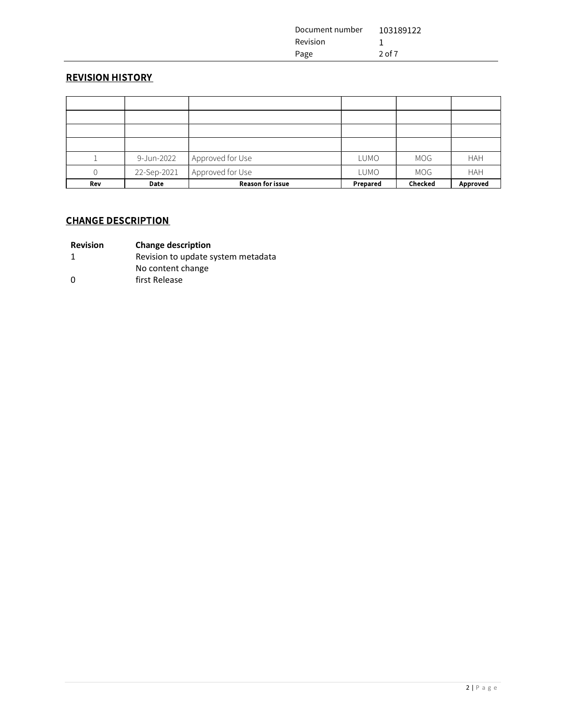| Document number | 103189122 |
|-----------------|-----------|
| Revision        |           |
| Page            | 2 of 7    |

# REVISION HISTORY

|     | 9-Jun-2022  | Approved for Use        | LUMO        | MOG            | <b>HAH</b>      |
|-----|-------------|-------------------------|-------------|----------------|-----------------|
|     | 22-Sep-2021 | Approved for Use        | <b>LUMO</b> | MOG            | <b>HAH</b>      |
| Rev | Date        | <b>Reason for issue</b> | Prepared    | <b>Checked</b> | <b>Approved</b> |

# CHANGE DESCRIPTION

| <b>Revision</b> | <b>Change description</b> |
|-----------------|---------------------------|
|-----------------|---------------------------|

1 Revision to update system metadata

- No content change
- 0 first Release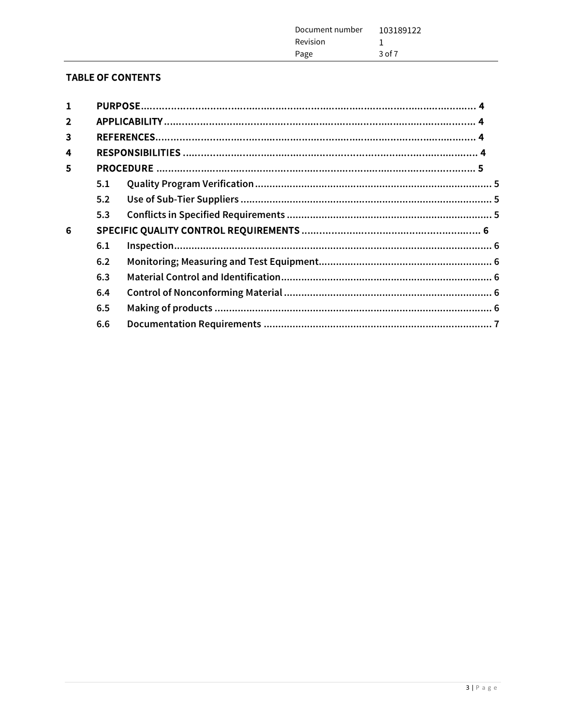| 103189122<br>Document number<br>Revision |  |
|------------------------------------------|--|
| $3$ of $7$<br>Page                       |  |

# **TABLE OF CONTENTS**

| 1              |     |  |
|----------------|-----|--|
| $\overline{2}$ |     |  |
| 3              |     |  |
| 4              |     |  |
| 5              |     |  |
|                | 5.1 |  |
|                | 5.2 |  |
|                | 5.3 |  |
| 6              |     |  |
|                | 6.1 |  |
|                | 6.2 |  |
|                | 6.3 |  |
|                | 6.4 |  |
|                | 6.5 |  |
|                | 6.6 |  |
|                |     |  |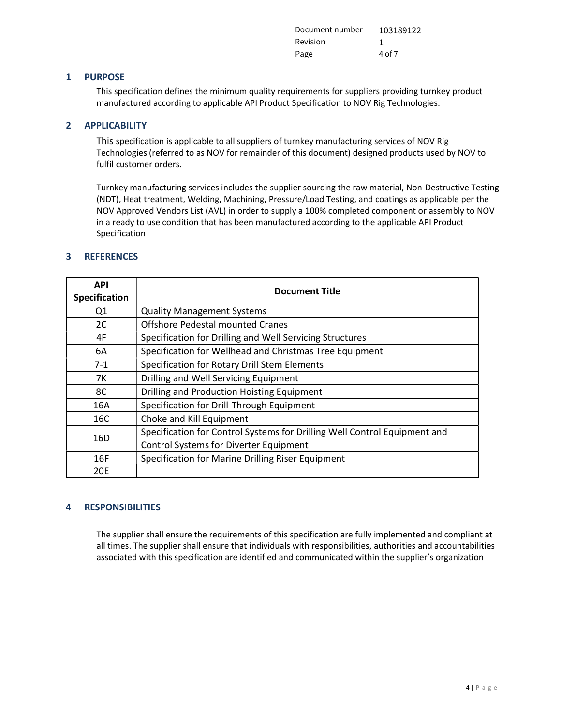| Document number 103189122 |        |
|---------------------------|--------|
| Revision                  |        |
| Page                      | 4 of 7 |

#### 1 PURPOSE

This specification defines the minimum quality requirements for suppliers providing turnkey product manufactured according to applicable API Product Specification to NOV Rig Technologies.

#### 2 APPLICABILITY

This specification is applicable to all suppliers of turnkey manufacturing services of NOV Rig Technologies (referred to as NOV for remainder of this document) designed products used by NOV to fulfil customer orders.

Turnkey manufacturing services includes the supplier sourcing the raw material, Non-Destructive Testing (NDT), Heat treatment, Welding, Machining, Pressure/Load Testing, and coatings as applicable per the NOV Approved Vendors List (AVL) in order to supply a 100% completed component or assembly to NOV in a ready to use condition that has been manufactured according to the applicable API Product Specification

#### 3 REFERENCES

| <b>API</b><br>Specification | <b>Document Title</b>                                                     |
|-----------------------------|---------------------------------------------------------------------------|
| Q1                          | <b>Quality Management Systems</b>                                         |
| 2C                          | <b>Offshore Pedestal mounted Cranes</b>                                   |
| 4F                          | Specification for Drilling and Well Servicing Structures                  |
| 6A                          | Specification for Wellhead and Christmas Tree Equipment                   |
| $7-1$                       | Specification for Rotary Drill Stem Elements                              |
| 7K                          | Drilling and Well Servicing Equipment                                     |
| 8C                          | Drilling and Production Hoisting Equipment                                |
| 16A                         | Specification for Drill-Through Equipment                                 |
| 16C                         | Choke and Kill Equipment                                                  |
| 16 <sub>D</sub>             | Specification for Control Systems for Drilling Well Control Equipment and |
|                             | <b>Control Systems for Diverter Equipment</b>                             |
| 16F                         | Specification for Marine Drilling Riser Equipment                         |
| 20E                         |                                                                           |

#### 4 RESPONSIBILITIES

The supplier shall ensure the requirements of this specification are fully implemented and compliant at all times. The supplier shall ensure that individuals with responsibilities, authorities and accountabilities associated with this specification are identified and communicated within the supplier's organization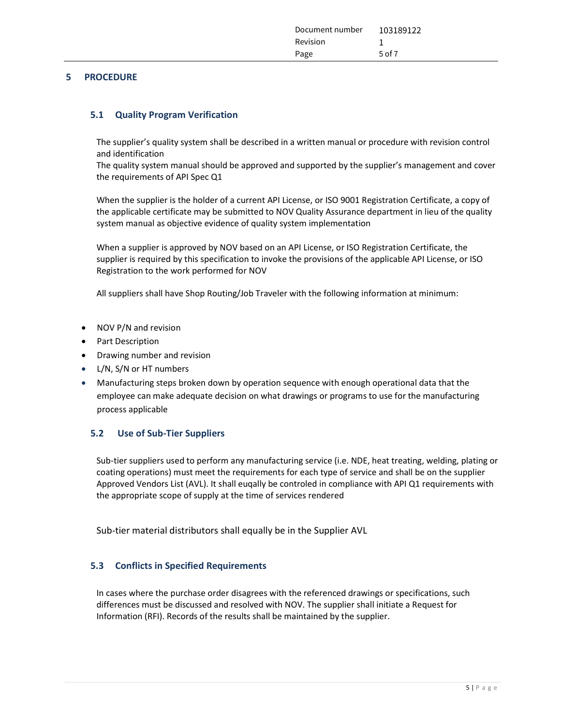| Document number | 103189122 |
|-----------------|-----------|
| Revision        |           |
| Page            | 5 of $7$  |

#### 5 PROCEDURE

#### 5.1 Quality Program Verification

The supplier's quality system shall be described in a written manual or procedure with revision control and identification

The quality system manual should be approved and supported by the supplier's management and cover the requirements of API Spec Q1

When the supplier is the holder of a current API License, or ISO 9001 Registration Certificate, a copy of the applicable certificate may be submitted to NOV Quality Assurance department in lieu of the quality system manual as objective evidence of quality system implementation

When a supplier is approved by NOV based on an API License, or ISO Registration Certificate, the supplier is required by this specification to invoke the provisions of the applicable API License, or ISO Registration to the work performed for NOV

All suppliers shall have Shop Routing/Job Traveler with the following information at minimum:

- NOV P/N and revision
- Part Description
- Drawing number and revision
- L/N, S/N or HT numbers
- Manufacturing steps broken down by operation sequence with enough operational data that the employee can make adequate decision on what drawings or programs to use for the manufacturing process applicable

#### 5.2 Use of Sub-Tier Suppliers

Sub-tier suppliers used to perform any manufacturing service (i.e. NDE, heat treating, welding, plating or coating operations) must meet the requirements for each type of service and shall be on the supplier Approved Vendors List (AVL). It shall euqally be controled in compliance with API Q1 requirements with the appropriate scope of supply at the time of services rendered

Sub-tier material distributors shall equally be in the Supplier AVL

#### 5.3 Conflicts in Specified Requirements

In cases where the purchase order disagrees with the referenced drawings or specifications, such differences must be discussed and resolved with NOV. The supplier shall initiate a Request for Information (RFI). Records of the results shall be maintained by the supplier.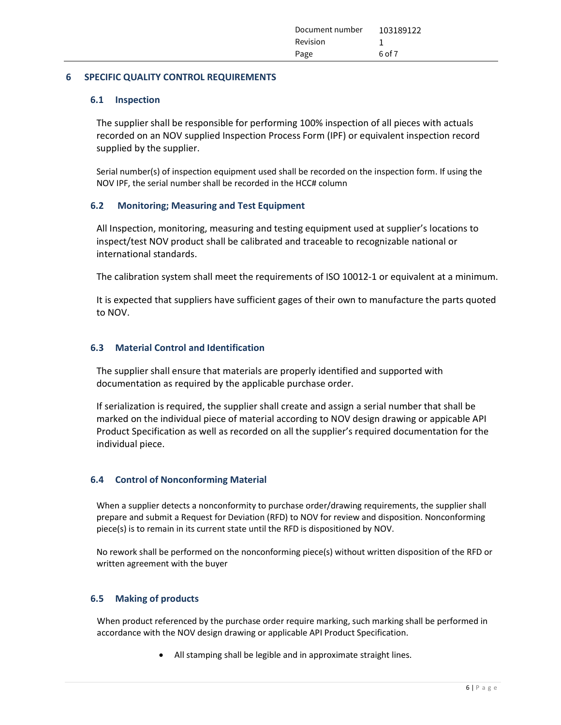#### 6 SPECIFIC QUALITY CONTROL REQUIREMENTS

#### 6.1 Inspection

The supplier shall be responsible for performing 100% inspection of all pieces with actuals recorded on an NOV supplied Inspection Process Form (IPF) or equivalent inspection record supplied by the supplier.

Serial number(s) of inspection equipment used shall be recorded on the inspection form. If using the NOV IPF, the serial number shall be recorded in the HCC# column

## 6.2 Monitoring; Measuring and Test Equipment

All Inspection, monitoring, measuring and testing equipment used at supplier's locations to inspect/test NOV product shall be calibrated and traceable to recognizable national or international standards.

The calibration system shall meet the requirements of ISO 10012-1 or equivalent at a minimum.

It is expected that suppliers have sufficient gages of their own to manufacture the parts quoted to NOV.

## 6.3 Material Control and Identification

The supplier shall ensure that materials are properly identified and supported with documentation as required by the applicable purchase order.

If serialization is required, the supplier shall create and assign a serial number that shall be marked on the individual piece of material according to NOV design drawing or appicable API Product Specification as well as recorded on all the supplier's required documentation for the individual piece.

## 6.4 Control of Nonconforming Material

When a supplier detects a nonconformity to purchase order/drawing requirements, the supplier shall prepare and submit a Request for Deviation (RFD) to NOV for review and disposition. Nonconforming piece(s) is to remain in its current state until the RFD is dispositioned by NOV.

No rework shall be performed on the nonconforming piece(s) without written disposition of the RFD or written agreement with the buyer

## 6.5 Making of products

When product referenced by the purchase order require marking, such marking shall be performed in accordance with the NOV design drawing or applicable API Product Specification.

All stamping shall be legible and in approximate straight lines.